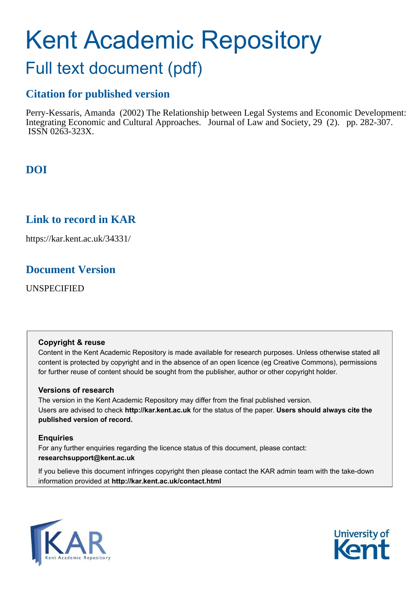# Kent Academic Repository

## Full text document (pdf)

## **Citation for published version**

Perry-Kessaris, Amanda (2002) The Relationship between Legal Systems and Economic Development: Integrating Economic and Cultural Approaches. Journal of Law and Society, 29 (2). pp. 282-307. ISSN 0263-323X.

## **DOI**

## **Link to record in KAR**

https://kar.kent.ac.uk/34331/

## **Document Version**

UNSPECIFIED

#### **Copyright & reuse**

Content in the Kent Academic Repository is made available for research purposes. Unless otherwise stated all content is protected by copyright and in the absence of an open licence (eg Creative Commons), permissions for further reuse of content should be sought from the publisher, author or other copyright holder.

#### **Versions of research**

The version in the Kent Academic Repository may differ from the final published version. Users are advised to check **http://kar.kent.ac.uk** for the status of the paper. **Users should always cite the published version of record.**

#### **Enquiries**

For any further enquiries regarding the licence status of this document, please contact: **researchsupport@kent.ac.uk**

If you believe this document infringes copyright then please contact the KAR admin team with the take-down information provided at **http://kar.kent.ac.uk/contact.html**



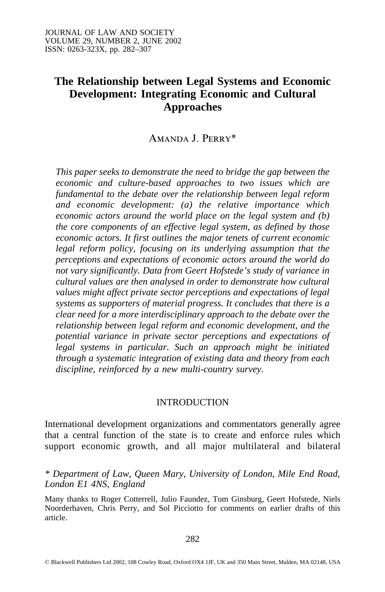#### **The Relationship between Legal Systems and Economic Development: Integrating Economic and Cultural Approaches**

#### Amanda J. Perry\*

*This paper seeks to demonstrate the need to bridge the gap between the economic and culture-based approaches to two issues which are fundamental to the debate over the relationship between legal reform and economic development: (a) the relative importance which economic actors around the world place on the legal system and (b) the core components of an effective legal system, as defined by those economic actors. It first outlines the major tenets of current economic legal reform policy, focusing on its underlying assumption that the perceptions and expectations of economic actors around the world do not vary significantly. Data from Geert Hofstede's study of variance in cultural values are then analysed in order to demonstrate how cultural values might affect private sector perceptions and expectations of legal systems as supporters of material progress. It concludes that there is a clear need for a more interdisciplinary approach to the debate over the relationship between legal reform and economic development, and the potential variance in private sector perceptions and expectations of legal systems in particular. Such an approach might be initiated through a systematic integration of existing data and theory from each discipline, reinforced by a new multi-country survey.*

#### **INTRODUCTION**

International development organizations and commentators generally agree that a central function of the state is to create and enforce rules which support economic growth, and all major multilateral and bilateral

#### *\* Department of Law, Queen Mary, University of London, Mile End Road, London E1 4NS, England*

Many thanks to Roger Cotterrell, Julio Faundez, Tom Ginsburg, Geert Hofstede, Niels Noorderhaven, Chris Perry, and Sol Picciotto for comments on earlier drafts of this article.

ß Blackwell Publishers Ltd 2002, 108 Cowley Road, Oxford OX4 1JF, UK and 350 Main Street, Malden, MA 02148, USA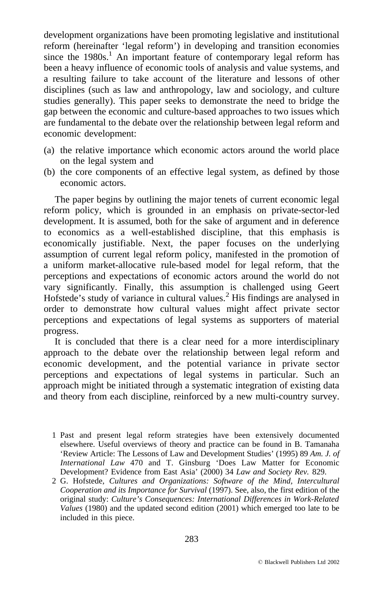development organizations have been promoting legislative and institutional reform (hereinafter 'legal reform') in developing and transition economies since the  $1980s<sup>1</sup>$ . An important feature of contemporary legal reform has been a heavy influence of economic tools of analysis and value systems, and a resulting failure to take account of the literature and lessons of other disciplines (such as law and anthropology, law and sociology, and culture studies generally). This paper seeks to demonstrate the need to bridge the gap between the economic and culture-based approaches to two issues which are fundamental to the debate over the relationship between legal reform and economic development:

- (a) the relative importance which economic actors around the world place on the legal system and
- (b) the core components of an effective legal system, as defined by those economic actors.

The paper begins by outlining the major tenets of current economic legal reform policy, which is grounded in an emphasis on private-sector-led development. It is assumed, both for the sake of argument and in deference to economics as a well-established discipline, that this emphasis is economically justifiable. Next, the paper focuses on the underlying assumption of current legal reform policy, manifested in the promotion of a uniform market-allocative rule-based model for legal reform, that the perceptions and expectations of economic actors around the world do not vary significantly. Finally, this assumption is challenged using Geert Hofstede's study of variance in cultural values.<sup>2</sup> His findings are analysed in order to demonstrate how cultural values might affect private sector perceptions and expectations of legal systems as supporters of material progress.

It is concluded that there is a clear need for a more interdisciplinary approach to the debate over the relationship between legal reform and economic development, and the potential variance in private sector perceptions and expectations of legal systems in particular. Such an approach might be initiated through a systematic integration of existing data and theory from each discipline, reinforced by a new multi-country survey.

<sup>1</sup> Past and present legal reform strategies have been extensively documented elsewhere. Useful overviews of theory and practice can be found in B. Tamanaha 'Review Article: The Lessons of Law and Development Studies' (1995) 89 *Am. J. of International Law* 470 and T. Ginsburg 'Does Law Matter for Economic Development? Evidence from East Asia' (2000) 34 *Law and Society Rev.* 829.

<sup>2</sup> G. Hofstede, *Cultures and Organizations: Software of the Mind, Intercultural Cooperation and its Importance for Survival* (1997). See, also, the first edition of the original study: *Culture's Consequences: International Differences in Work-Related Values* (1980) and the updated second edition (2001) which emerged too late to be included in this piece.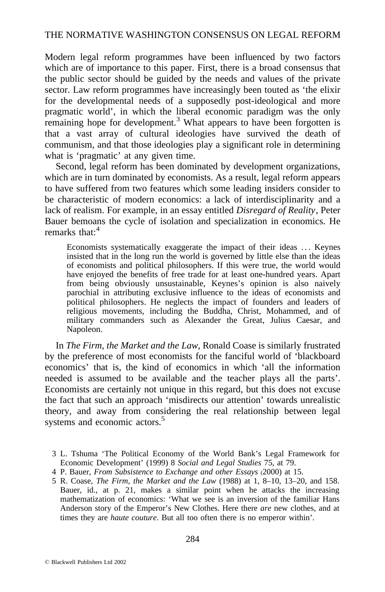#### THE NORMATIVE WASHINGTON CONSENSUS ON LEGAL REFORM

Modern legal reform programmes have been influenced by two factors which are of importance to this paper. First, there is a broad consensus that the public sector should be guided by the needs and values of the private sector. Law reform programmes have increasingly been touted as 'the elixir for the developmental needs of a supposedly post-ideological and more pragmatic world', in which the liberal economic paradigm was the only remaining hope for development.<sup>3</sup> What appears to have been forgotten is that a vast array of cultural ideologies have survived the death of communism, and that those ideologies play a significant role in determining what is 'pragmatic' at any given time.

Second, legal reform has been dominated by development organizations, which are in turn dominated by economists. As a result, legal reform appears to have suffered from two features which some leading insiders consider to be characteristic of modern economics: a lack of interdisciplinarity and a lack of realism. For example, in an essay entitled *Disregard of Reality*, Peter Bauer bemoans the cycle of isolation and specialization in economics. He remarks that<sup>-4</sup>

Economists systematically exaggerate the impact of their ideas ... Keynes insisted that in the long run the world is governed by little else than the ideas of economists and political philosophers. If this were true, the world would have enjoyed the benefits of free trade for at least one-hundred years. Apart from being obviously unsustainable, Keynes's opinion is also naively parochial in attributing exclusive influence to the ideas of economists and political philosophers. He neglects the impact of founders and leaders of religious movements, including the Buddha, Christ, Mohammed, and of military commanders such as Alexander the Great, Julius Caesar, and Napoleon.

In *The Firm, the Market and the Law*, Ronald Coase is similarly frustrated by the preference of most economists for the fanciful world of 'blackboard economics' that is, the kind of economics in which 'all the information needed is assumed to be available and the teacher plays all the parts'. Economists are certainly not unique in this regard, but this does not excuse the fact that such an approach 'misdirects our attention' towards unrealistic theory, and away from considering the real relationship between legal systems and economic actors.<sup>5</sup>

<sup>3</sup> L. Tshuma 'The Political Economy of the World Bank's Legal Framework for Economic Development' (1999) 8 *Social and Legal Studies* 75, at 79.

<sup>4</sup> P. Bauer, *From Subsistence to Exchange and other Essays* (2000) at 15.

<sup>5</sup> R. Coase, *The Firm, the Market and the Law* (1988) at 1, 8–10, 13–20, and 158. Bauer, id., at p. 21, makes a similar point when he attacks the increasing mathematization of economics: 'What we see is an inversion of the familiar Hans Anderson story of the Emperor's New Clothes. Here there *are* new clothes, and at times they are *haute couture*. But all too often there is no emperor within'.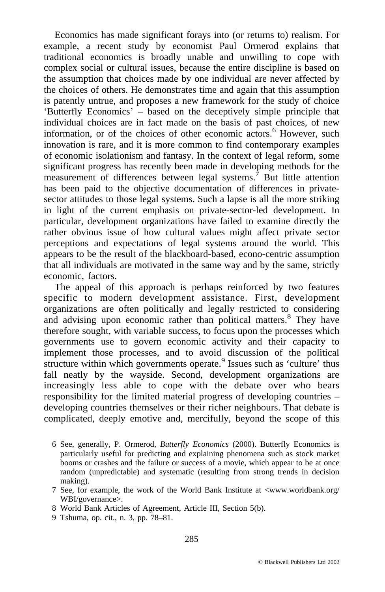Economics has made significant forays into (or returns to) realism. For example, a recent study by economist Paul Ormerod explains that traditional economics is broadly unable and unwilling to cope with complex social or cultural issues, because the entire discipline is based on the assumption that choices made by one individual are never affected by the choices of others. He demonstrates time and again that this assumption is patently untrue, and proposes a new framework for the study of choice 'Butterfly Economics' – based on the deceptively simple principle that individual choices are in fact made on the basis of past choices, of new information, or of the choices of other economic actors.<sup>6</sup> However, such innovation is rare, and it is more common to find contemporary examples of economic isolationism and fantasy. In the context of legal reform, some significant progress has recently been made in developing methods for the measurement of differences between legal systems.<sup>7</sup> But little attention has been paid to the objective documentation of differences in privatesector attitudes to those legal systems. Such a lapse is all the more striking in light of the current emphasis on private-sector-led development. In particular, development organizations have failed to examine directly the rather obvious issue of how cultural values might affect private sector perceptions and expectations of legal systems around the world. This appears to be the result of the blackboard-based, econo-centric assumption that all individuals are motivated in the same way and by the same, strictly economic, factors.

The appeal of this approach is perhaps reinforced by two features specific to modern development assistance. First, development organizations are often politically and legally restricted to considering and advising upon economic rather than political matters.<sup>8</sup> They have therefore sought, with variable success, to focus upon the processes which governments use to govern economic activity and their capacity to implement those processes, and to avoid discussion of the political structure within which governments operate.<sup>9</sup> Issues such as 'culture' thus fall neatly by the wayside. Second, development organizations are increasingly less able to cope with the debate over who bears responsibility for the limited material progress of developing countries – developing countries themselves or their richer neighbours. That debate is complicated, deeply emotive and, mercifully, beyond the scope of this

- 6 See, generally, P. Ormerod, *Butterfly Economics* (2000). Butterfly Economics is particularly useful for predicting and explaining phenomena such as stock market booms or crashes and the failure or success of a movie, which appear to be at once random (unpredictable) and systematic (resulting from strong trends in decision making).
- 7 See, for example, the work of the World Bank Institute at <www.worldbank.org/ WBI/governance>.
- 8 World Bank Articles of Agreement, Article III, Section 5(b).
- 9 Tshuma, op. cit., n. 3, pp. 78–81.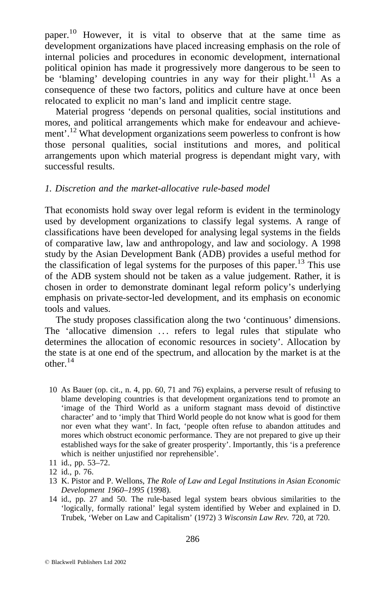paper.<sup>10</sup> However, it is vital to observe that at the same time as development organizations have placed increasing emphasis on the role of internal policies and procedures in economic development, international political opinion has made it progressively more dangerous to be seen to be 'blaming' developing countries in any way for their plight.<sup>11</sup> As a consequence of these two factors, politics and culture have at once been relocated to explicit no man's land and implicit centre stage.

Material progress 'depends on personal qualities, social institutions and mores, and political arrangements which make for endeavour and achievement'.<sup>12</sup> What development organizations seem powerless to confront is how those personal qualities, social institutions and mores, and political arrangements upon which material progress is dependant might vary, with successful results.

#### *1. Discretion and the market-allocative rule-based model*

That economists hold sway over legal reform is evident in the terminology used by development organizations to classify legal systems. A range of classifications have been developed for analysing legal systems in the fields of comparative law, law and anthropology, and law and sociology. A 1998 study by the Asian Development Bank (ADB) provides a useful method for the classification of legal systems for the purposes of this paper.<sup>13</sup> This use of the ADB system should not be taken as a value judgement. Rather, it is chosen in order to demonstrate dominant legal reform policy's underlying emphasis on private-sector-led development, and its emphasis on economic tools and values.

The study proposes classification along the two 'continuous' dimensions. The 'allocative dimension ... refers to legal rules that stipulate who determines the allocation of economic resources in society'. Allocation by the state is at one end of the spectrum, and allocation by the market is at the other $14$ 

- 10 As Bauer (op. cit., n. 4, pp. 60, 71 and 76) explains, a perverse result of refusing to blame developing countries is that development organizations tend to promote an 'image of the Third World as a uniform stagnant mass devoid of distinctive character' and to 'imply that Third World people do not know what is good for them nor even what they want'. In fact, 'people often refuse to abandon attitudes and mores which obstruct economic performance. They are not prepared to give up their established ways for the sake of greater prosperity'. Importantly, this 'is a preference which is neither unjustified nor reprehensible'.
- 11 id., pp. 53–72.
- 12 id., p. 76.
- 13 K. Pistor and P. Wellons, *The Role of Law and Legal Institutions in Asian Economic Development 1960–1995* (1998).
- 14 id., pp. 27 and 50. The rule-based legal system bears obvious similarities to the 'logically, formally rational' legal system identified by Weber and explained in D. Trubek, 'Weber on Law and Capitalism' (1972) 3 *Wisconsin Law Rev.* 720, at 720.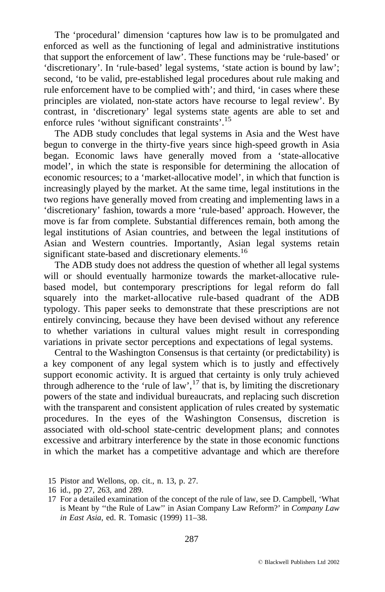The 'procedural' dimension 'captures how law is to be promulgated and enforced as well as the functioning of legal and administrative institutions that support the enforcement of law'. These functions may be 'rule-based' or 'discretionary'. In 'rule-based' legal systems, 'state action is bound by law'; second, 'to be valid, pre-established legal procedures about rule making and rule enforcement have to be complied with'; and third, 'in cases where these principles are violated, non-state actors have recourse to legal review'. By contrast, in 'discretionary' legal systems state agents are able to set and enforce rules 'without significant constraints'.<sup>15</sup>

The ADB study concludes that legal systems in Asia and the West have begun to converge in the thirty-five years since high-speed growth in Asia began. Economic laws have generally moved from a 'state-allocative model', in which the state is responsible for determining the allocation of economic resources; to a 'market-allocative model', in which that function is increasingly played by the market. At the same time, legal institutions in the two regions have generally moved from creating and implementing laws in a 'discretionary' fashion, towards a more 'rule-based' approach. However, the move is far from complete. Substantial differences remain, both among the legal institutions of Asian countries, and between the legal institutions of Asian and Western countries. Importantly, Asian legal systems retain significant state-based and discretionary elements.<sup>16</sup>

The ADB study does not address the question of whether all legal systems will or should eventually harmonize towards the market-allocative rulebased model, but contemporary prescriptions for legal reform do fall squarely into the market-allocative rule-based quadrant of the ADB typology. This paper seeks to demonstrate that these prescriptions are not entirely convincing, because they have been devised without any reference to whether variations in cultural values might result in corresponding variations in private sector perceptions and expectations of legal systems.

Central to the Washington Consensus is that certainty (or predictability) is a key component of any legal system which is to justly and effectively support economic activity. It is argued that certainty is only truly achieved through adherence to the 'rule of law',  $17$  that is, by limiting the discretionary powers of the state and individual bureaucrats, and replacing such discretion with the transparent and consistent application of rules created by systematic procedures. In the eyes of the Washington Consensus, discretion is associated with old-school state-centric development plans; and connotes excessive and arbitrary interference by the state in those economic functions in which the market has a competitive advantage and which are therefore

<sup>15</sup> Pistor and Wellons, op. cit., n. 13, p. 27.

<sup>16</sup> id., pp 27, 263, and 289.

<sup>17</sup> For a detailed examination of the concept of the rule of law, see D. Campbell, 'What is Meant by ''the Rule of Law'' in Asian Company Law Reform?' in *Company Law in East Asia*, ed. R. Tomasic (1999) 11–38.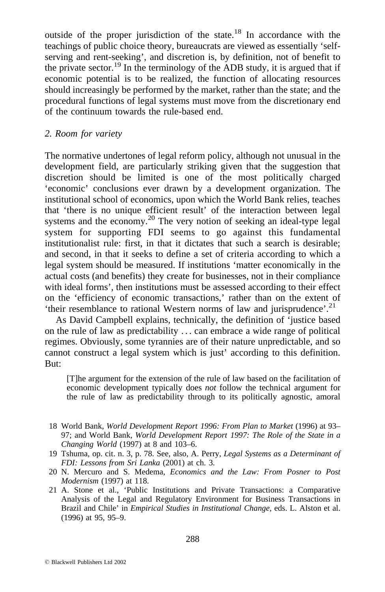outside of the proper jurisdiction of the state.<sup>18</sup> In accordance with the teachings of public choice theory, bureaucrats are viewed as essentially 'selfserving and rent-seeking', and discretion is, by definition, not of benefit to the private sector.<sup>19</sup> In the terminology of the ADB study, it is argued that if economic potential is to be realized, the function of allocating resources should increasingly be performed by the market, rather than the state; and the procedural functions of legal systems must move from the discretionary end of the continuum towards the rule-based end.

#### *2. Room for variety*

The normative undertones of legal reform policy, although not unusual in the development field, are particularly striking given that the suggestion that discretion should be limited is one of the most politically charged 'economic' conclusions ever drawn by a development organization. The institutional school of economics, upon which the World Bank relies, teaches that 'there is no unique efficient result' of the interaction between legal systems and the economy.<sup>20</sup> The very notion of seeking an ideal-type legal system for supporting FDI seems to go against this fundamental institutionalist rule: first, in that it dictates that such a search is desirable; and second, in that it seeks to define a set of criteria according to which a legal system should be measured. If institutions 'matter economically in the actual costs (and benefits) they create for businesses, not in their compliance with ideal forms', then institutions must be assessed according to their effect on the 'efficiency of economic transactions,' rather than on the extent of 'their resemblance to rational Western norms of law and jurisprudence'.<sup>21</sup>

As David Campbell explains, technically, the definition of 'justice based on the rule of law as predictability . . . can embrace a wide range of political regimes. Obviously, some tyrannies are of their nature unpredictable, and so cannot construct a legal system which is just' according to this definition. But:

[T]he argument for the extension of the rule of law based on the facilitation of economic development typically does *not* follow the technical argument for the rule of law as predictability through to its politically agnostic, amoral

- 18 World Bank, *World Development Report 1996: From Plan to Market* (1996) at 93– 97; and World Bank, *World Development Report 1997: The Role of the State in a Changing World* (1997) at 8 and 103–6.
- 19 Tshuma, op. cit. n. 3, p. 78. See, also, A. Perry, *Legal Systems as a Determinant of FDI: Lessons from Sri Lanka* (2001) at ch. 3.
- 20 N. Mercuro and S. Medema, *Economics and the Law: From Posner to Post Modernism* (1997) at 118.
- 21 A. Stone et al., 'Public Institutions and Private Transactions: a Comparative Analysis of the Legal and Regulatory Environment for Business Transactions in Brazil and Chile' in *Empirical Studies in Institutional Change*, eds. L. Alston et al. (1996) at 95, 95–9.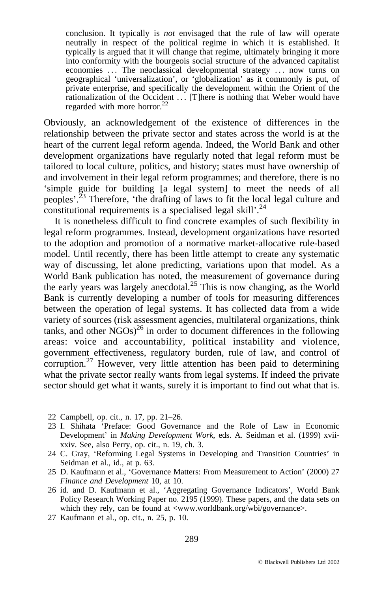conclusion. It typically is *not* envisaged that the rule of law will operate neutrally in respect of the political regime in which it is established. It typically is argued that it will change that regime, ultimately bringing it more into conformity with the bourgeois social structure of the advanced capitalist economies ... The neoclassical developmental strategy ... now turns on geographical 'universalization', or 'globalization' as it commonly is put, of private enterprise, and specifically the development within the Orient of the rationalization of the Occident ... [T]here is nothing that Weber would have regarded with more horror.<sup>22</sup>

Obviously, an acknowledgement of the existence of differences in the relationship between the private sector and states across the world is at the heart of the current legal reform agenda. Indeed, the World Bank and other development organizations have regularly noted that legal reform must be tailored to local culture, politics, and history; states must have ownership of and involvement in their legal reform programmes; and therefore, there is no 'simple guide for building [a legal system] to meet the needs of all peoples'.<sup>23</sup> Therefore, 'the drafting of laws to fit the local legal culture and constitutional requirements is a specialised legal skill'.<sup>24</sup>

It is nonetheless difficult to find concrete examples of such flexibility in legal reform programmes. Instead, development organizations have resorted to the adoption and promotion of a normative market-allocative rule-based model. Until recently, there has been little attempt to create any systematic way of discussing, let alone predicting, variations upon that model. As a World Bank publication has noted, the measurement of governance during the early years was largely anecdotal.<sup>25</sup> This is now changing, as the World Bank is currently developing a number of tools for measuring differences between the operation of legal systems. It has collected data from a wide variety of sources (risk assessment agencies, multilateral organizations, think tanks, and other  $NGOs)^{26}$  in order to document differences in the following areas: voice and accountability, political instability and violence, government effectiveness, regulatory burden, rule of law, and control of corruption.<sup>27</sup> However, very little attention has been paid to determining what the private sector really wants from legal systems. If indeed the private sector should get what it wants, surely it is important to find out what that is.

- 22 Campbell, op. cit., n. 17, pp. 21–26.
- 23 I. Shihata 'Preface: Good Governance and the Role of Law in Economic Development' in *Making Development Work*, eds. A. Seidman et al. (1999) xviixxiv. See, also Perry, op. cit., n. 19, ch. 3.
- 24 C. Gray, 'Reforming Legal Systems in Developing and Transition Countries' in Seidman et al., id., at p. 63.
- 25 D. Kaufmann et al., 'Governance Matters: From Measurement to Action' (2000) 27 *Finance and Development* 10, at 10.
- 26 id. and D. Kaufmann et al., 'Aggregating Governance Indicators', World Bank Policy Research Working Paper no. 2195 (1999). These papers, and the data sets on which they rely, can be found at <www.worldbank.org/wbi/governance>.
- 27 Kaufmann et al., op. cit., n. 25, p. 10.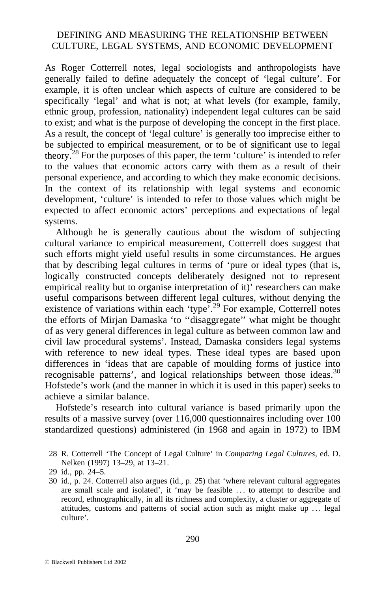#### DEFINING AND MEASURING THE RELATIONSHIP BETWEEN CULTURE, LEGAL SYSTEMS, AND ECONOMIC DEVELOPMENT

As Roger Cotterrell notes, legal sociologists and anthropologists have generally failed to define adequately the concept of 'legal culture'. For example, it is often unclear which aspects of culture are considered to be specifically 'legal' and what is not; at what levels (for example, family, ethnic group, profession, nationality) independent legal cultures can be said to exist; and what is the purpose of developing the concept in the first place. As a result, the concept of 'legal culture' is generally too imprecise either to be subjected to empirical measurement, or to be of significant use to legal theory.<sup>28</sup> For the purposes of this paper, the term 'culture' is intended to refer to the values that economic actors carry with them as a result of their personal experience, and according to which they make economic decisions. In the context of its relationship with legal systems and economic development, 'culture' is intended to refer to those values which might be expected to affect economic actors' perceptions and expectations of legal systems.

Although he is generally cautious about the wisdom of subjecting cultural variance to empirical measurement, Cotterrell does suggest that such efforts might yield useful results in some circumstances. He argues that by describing legal cultures in terms of 'pure or ideal types (that is, logically constructed concepts deliberately designed not to represent empirical reality but to organise interpretation of it)' researchers can make useful comparisons between different legal cultures, without denying the existence of variations within each 'type'.<sup>29</sup> For example, Cotterrell notes the efforts of Mirjan Damaska 'to ''disaggregate'' what might be thought of as very general differences in legal culture as between common law and civil law procedural systems'. Instead, Damaska considers legal systems with reference to new ideal types. These ideal types are based upon differences in 'ideas that are capable of moulding forms of justice into recognisable patterns', and logical relationships between those ideas.<sup>30</sup> Hofstede's work (and the manner in which it is used in this paper) seeks to achieve a similar balance.

Hofstede's research into cultural variance is based primarily upon the results of a massive survey (over 116,000 questionnaires including over 100 standardized questions) administered (in 1968 and again in 1972) to IBM

<sup>28</sup> R. Cotterrell 'The Concept of Legal Culture' in *Comparing Legal Cultures*, ed. D. Nelken (1997) 13–29, at 13–21.

<sup>29</sup> id., pp. 24–5.

<sup>30</sup> id., p. 24. Cotterrell also argues (id., p. 25) that 'where relevant cultural aggregates are small scale and isolated', it 'may be feasible . . . to attempt to describe and record, ethnographically, in all its richness and complexity, a cluster or aggregate of attitudes, customs and patterns of social action such as might make up ... legal culture'.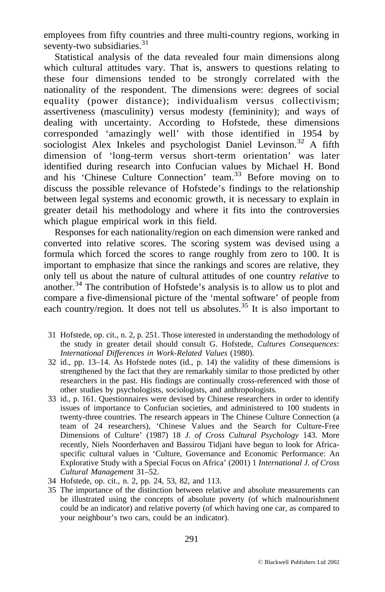employees from fifty countries and three multi-country regions, working in seventy-two subsidiaries.<sup>31</sup>

Statistical analysis of the data revealed four main dimensions along which cultural attitudes vary. That is, answers to questions relating to these four dimensions tended to be strongly correlated with the nationality of the respondent. The dimensions were: degrees of social equality (power distance); individualism versus collectivism; assertiveness (masculinity) versus modesty (femininity); and ways of dealing with uncertainty. According to Hofstede, these dimensions corresponded 'amazingly well' with those identified in 1954 by sociologist Alex Inkeles and psychologist Daniel Levinson.<sup>32</sup> A fifth dimension of 'long-term versus short-term orientation' was later identified during research into Confucian values by Michael H. Bond and his 'Chinese Culture Connection' team.<sup>33</sup> Before moving on to discuss the possible relevance of Hofstede's findings to the relationship between legal systems and economic growth, it is necessary to explain in greater detail his methodology and where it fits into the controversies which plague empirical work in this field.

Responses for each nationality/region on each dimension were ranked and converted into relative scores. The scoring system was devised using a formula which forced the scores to range roughly from zero to 100. It is important to emphasize that since the rankings and scores are relative, they only tell us about the nature of cultural attitudes of one country *relative* to another.<sup>34</sup> The contribution of Hofstede's analysis is to allow us to plot and compare a five-dimensional picture of the 'mental software' of people from each country/region. It does not tell us absolutes.<sup>35</sup> It is also important to

- 31 Hofstede, op. cit., n. 2, p. 251. Those interested in understanding the methodology of the study in greater detail should consult G. Hofstede, *Cultures Consequences: International Differences in Work-Related Values* (1980).
- 32 id., pp. 13–14. As Hofstede notes (id., p. 14) the validity of these dimensions is strengthened by the fact that they are remarkably similar to those predicted by other researchers in the past. His findings are continually cross-referenced with those of other studies by psychologists, sociologists, and anthropologists.
- 33 id., p. 161. Questionnaires were devised by Chinese researchers in order to identify issues of importance to Confucian societies, and administered to 100 students in twenty-three countries. The research appears in The Chinese Culture Connection (a team of 24 researchers), 'Chinese Values and the Search for Culture-Free Dimensions of Culture' (1987) 18 *J. of Cross Cultural Psychology* 143. More recently, Niels Noorderhaven and Bassirou Tidjani have begun to look for Africaspecific cultural values in 'Culture, Governance and Economic Performance: An Explorative Study with a Special Focus on Africa' (2001) 1 *International J. of Cross Cultural Management* 31–52.
- 34 Hofstede, op. cit., n. 2, pp. 24, 53, 82, and 113.
- 35 The importance of the distinction between relative and absolute measurements can be illustrated using the concepts of absolute poverty (of which malnourishment could be an indicator) and relative poverty (of which having one car, as compared to your neighbour's two cars, could be an indicator).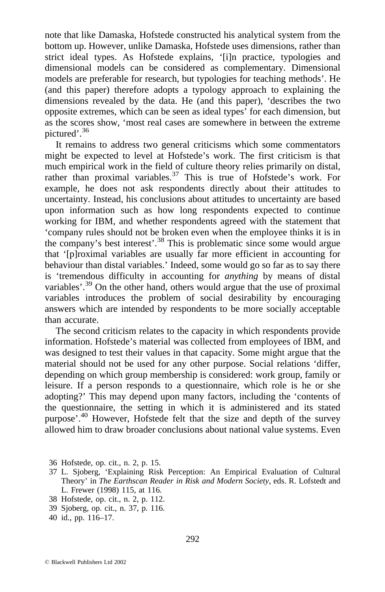note that like Damaska, Hofstede constructed his analytical system from the bottom up. However, unlike Damaska, Hofstede uses dimensions, rather than strict ideal types. As Hofstede explains, '[i]n practice, typologies and dimensional models can be considered as complementary. Dimensional models are preferable for research, but typologies for teaching methods'. He (and this paper) therefore adopts a typology approach to explaining the dimensions revealed by the data. He (and this paper), 'describes the two opposite extremes, which can be seen as ideal types' for each dimension, but as the scores show, 'most real cases are somewhere in between the extreme pictured'.<sup>36</sup>

It remains to address two general criticisms which some commentators might be expected to level at Hofstede's work. The first criticism is that much empirical work in the field of culture theory relies primarily on distal, rather than proximal variables.<sup>37</sup> This is true of Hofstede's work. For example, he does not ask respondents directly about their attitudes to uncertainty. Instead, his conclusions about attitudes to uncertainty are based upon information such as how long respondents expected to continue working for IBM, and whether respondents agreed with the statement that 'company rules should not be broken even when the employee thinks it is in the company's best interest'.<sup>38</sup> This is problematic since some would argue that '[p]roximal variables are usually far more efficient in accounting for behaviour than distal variables.' Indeed, some would go so far as to say there is 'tremendous difficulty in accounting for *anything* by means of distal variables'.<sup>39</sup> On the other hand, others would argue that the use of proximal variables introduces the problem of social desirability by encouraging answers which are intended by respondents to be more socially acceptable than accurate.

The second criticism relates to the capacity in which respondents provide information. Hofstede's material was collected from employees of IBM, and was designed to test their values in that capacity. Some might argue that the material should not be used for any other purpose. Social relations 'differ, depending on which group membership is considered: work group, family or leisure. If a person responds to a questionnaire, which role is he or she adopting?' This may depend upon many factors, including the 'contents of the questionnaire, the setting in which it is administered and its stated purpose'.<sup>40</sup> However, Hofstede felt that the size and depth of the survey allowed him to draw broader conclusions about national value systems. Even

- 38 Hofstede, op. cit., n. 2, p. 112.
- 39 Sjoberg, op. cit., n. 37, p. 116.
- 40 id., pp. 116–17.

<sup>36</sup> Hofstede, op. cit., n. 2, p. 15.

<sup>37</sup> L. Sjoberg, 'Explaining Risk Perception: An Empirical Evaluation of Cultural Theory' in *The Earthscan Reader in Risk and Modern Society*, eds. R. Lofstedt and L. Frewer (1998) 115, at 116.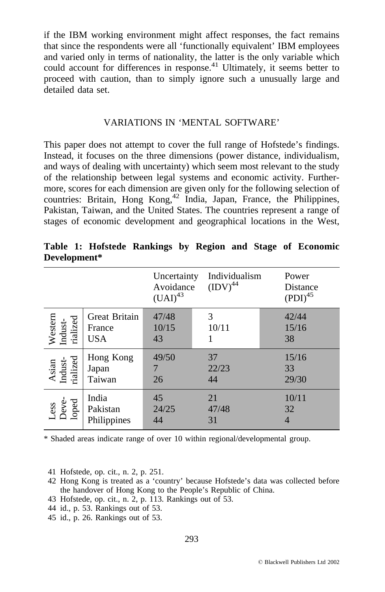if the IBM working environment might affect responses, the fact remains that since the respondents were all 'functionally equivalent' IBM employees and varied only in terms of nationality, the latter is the only variable which could account for differences in response.<sup>41</sup> Ultimately, it seems better to proceed with caution, than to simply ignore such a unusually large and detailed data set.

#### VARIATIONS IN 'MENTAL SOFTWARE'

This paper does not attempt to cover the full range of Hofstede's findings. Instead, it focuses on the three dimensions (power distance, individualism, and ways of dealing with uncertainty) which seem most relevant to the study of the relationship between legal systems and economic activity. Furthermore, scores for each dimension are given only for the following selection of countries: Britain, Hong Kong,<sup>42</sup> India, Japan, France, the Philippines, Pakistan, Taiwan, and the United States. The countries represent a range of stages of economic development and geographical locations in the West,

|                                                                               |                                       | Uncertainty<br>Avoidance<br>$(UAI)^{43}$ | Individualism<br>$(IDV)^{44}$ | Power<br>Distance<br>$( PDI)^{45}$ |
|-------------------------------------------------------------------------------|---------------------------------------|------------------------------------------|-------------------------------|------------------------------------|
| Western<br>Indust-<br>rialized                                                | Great Britain<br>France<br><b>USA</b> | 47/48<br>10/15<br>43                     | 3<br>10/11                    | 42/44<br>15/16<br>38               |
| Asian<br>Indust-<br>rialized                                                  | Hong Kong<br>Japan<br>Taiwan          | 49/50<br>7<br>26                         | 37<br>22/23<br>44             | 15/16<br>33<br>29/30               |
| Less<br>Deve-<br>loped                                                        | India<br>Pakistan<br>Philippines      | 45<br>24/25<br>44                        | 21<br>47/48<br>31             | 10/11<br>32<br>4                   |
| * Shaded areas indicate range of over 10 within regional/developmental group. |                                       |                                          |                               |                                    |

**Table 1: Hofstede Rankings by Region and Stage of Economic Development\***

41 Hofstede, op. cit., n. 2, p. 251.

- 42 Hong Kong is treated as a 'country' because Hofstede's data was collected before the handover of Hong Kong to the People's Republic of China.
- 43 Hofstede, op. cit., n. 2, p. 113. Rankings out of 53.
- 44 id., p. 53. Rankings out of 53.
- 45 id., p. 26. Rankings out of 53.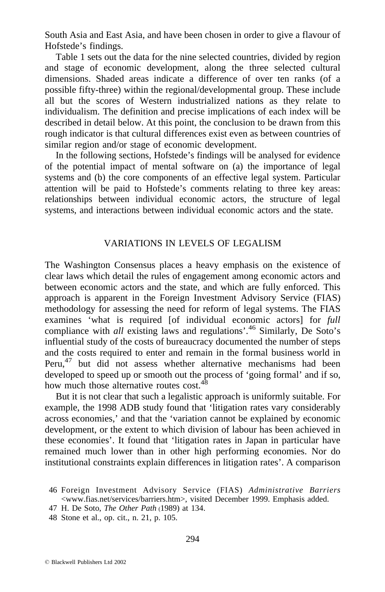South Asia and East Asia, and have been chosen in order to give a flavour of Hofstede's findings.

Table 1 sets out the data for the nine selected countries, divided by region and stage of economic development, along the three selected cultural dimensions. Shaded areas indicate a difference of over ten ranks (of a possible fifty-three) within the regional/developmental group. These include all but the scores of Western industrialized nations as they relate to individualism. The definition and precise implications of each index will be described in detail below. At this point, the conclusion to be drawn from this rough indicator is that cultural differences exist even as between countries of similar region and/or stage of economic development.

In the following sections, Hofstede's findings will be analysed for evidence of the potential impact of mental software on (a) the importance of legal systems and (b) the core components of an effective legal system. Particular attention will be paid to Hofstede's comments relating to three key areas: relationships between individual economic actors, the structure of legal systems, and interactions between individual economic actors and the state.

#### VARIATIONS IN LEVELS OF LEGALISM

The Washington Consensus places a heavy emphasis on the existence of clear laws which detail the rules of engagement among economic actors and between economic actors and the state, and which are fully enforced. This approach is apparent in the Foreign Investment Advisory Service (FIAS) methodology for assessing the need for reform of legal systems. The FIAS examines 'what is required [of individual economic actors] for *full* compliance with *all* existing laws and regulations'.<sup>46</sup> Similarly, De Soto's influential study of the costs of bureaucracy documented the number of steps and the costs required to enter and remain in the formal business world in Peru,<sup>47</sup> but did not assess whether alternative mechanisms had been developed to speed up or smooth out the process of 'going formal' and if so, how much those alternative routes cost.<sup>48</sup>

But it is not clear that such a legalistic approach is uniformly suitable. For example, the 1998 ADB study found that 'litigation rates vary considerably across economies,' and that the 'variation cannot be explained by economic development, or the extent to which division of labour has been achieved in these economies'. It found that 'litigation rates in Japan in particular have remained much lower than in other high performing economies. Nor do institutional constraints explain differences in litigation rates'. A comparison

- 47 H. De Soto, *The Other Path* (1989) at 134.
- 48 Stone et al., op. cit., n. 21, p. 105.

<sup>46</sup> Foreign Investment Advisory Service (FIAS) *Administrative Barriers* <www.fias.net/services/barriers.htm>, visited December 1999. Emphasis added.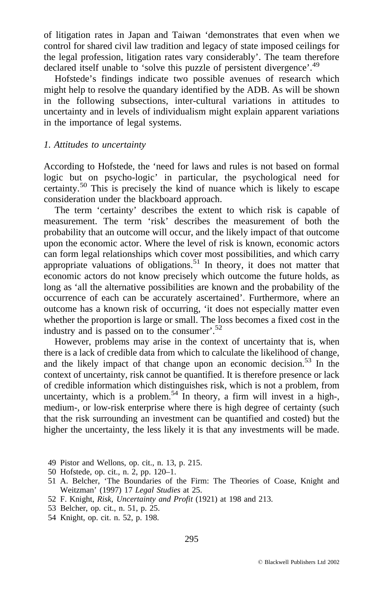of litigation rates in Japan and Taiwan 'demonstrates that even when we control for shared civil law tradition and legacy of state imposed ceilings for the legal profession, litigation rates vary considerably'. The team therefore declared itself unable to 'solve this puzzle of persistent divergence'.<sup>49</sup>

Hofstede's findings indicate two possible avenues of research which might help to resolve the quandary identified by the ADB. As will be shown in the following subsections, inter-cultural variations in attitudes to uncertainty and in levels of individualism might explain apparent variations in the importance of legal systems.

#### *1. Attitudes to uncertainty*

According to Hofstede, the 'need for laws and rules is not based on formal logic but on psycho-logic' in particular, the psychological need for certainty.<sup>50</sup> This is precisely the kind of nuance which is likely to escape consideration under the blackboard approach.

The term 'certainty' describes the extent to which risk is capable of measurement. The term 'risk' describes the measurement of both the probability that an outcome will occur, and the likely impact of that outcome upon the economic actor. Where the level of risk is known, economic actors can form legal relationships which cover most possibilities, and which carry appropriate valuations of obligations.<sup>51</sup> In theory, it does not matter that economic actors do not know precisely which outcome the future holds, as long as 'all the alternative possibilities are known and the probability of the occurrence of each can be accurately ascertained'. Furthermore, where an outcome has a known risk of occurring, 'it does not especially matter even whether the proportion is large or small. The loss becomes a fixed cost in the industry and is passed on to the consumer'.<sup>52</sup>

However, problems may arise in the context of uncertainty that is, when there is a lack of credible data from which to calculate the likelihood of change, and the likely impact of that change upon an economic decision.<sup>53</sup> In the context of uncertainty, risk cannot be quantified. It is therefore presence or lack of credible information which distinguishes risk, which is not a problem, from uncertainty, which is a problem.<sup>54</sup> In theory, a firm will invest in a high-, medium-, or low-risk enterprise where there is high degree of certainty (such that the risk surrounding an investment can be quantified and costed) but the higher the uncertainty, the less likely it is that any investments will be made.

49 Pistor and Wellons, op. cit., n. 13, p. 215.

- 50 Hofstede, op. cit., n. 2, pp. 120–1.
- 51 A. Belcher, 'The Boundaries of the Firm: The Theories of Coase, Knight and Weitzman' (1997) 17 *Legal Studies* at 25.
- 52 F. Knight, *Risk, Uncertainty and Profit* (1921) at 198 and 213.
- 53 Belcher, op. cit., n. 51, p. 25.
- 54 Knight, op. cit. n. 52, p. 198.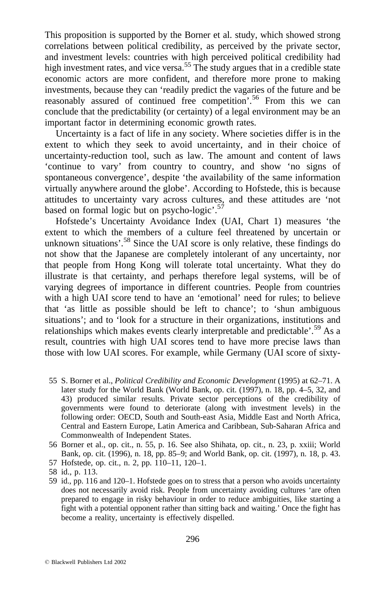This proposition is supported by the Borner et al. study, which showed strong correlations between political credibility, as perceived by the private sector, and investment levels: countries with high perceived political credibility had high investment rates, and vice versa.<sup>55</sup> The study argues that in a credible state economic actors are more confident, and therefore more prone to making investments, because they can 'readily predict the vagaries of the future and be reasonably assured of continued free competition'.<sup>56</sup> From this we can conclude that the predictability (or certainty) of a legal environment may be an important factor in determining economic growth rates.

Uncertainty is a fact of life in any society. Where societies differ is in the extent to which they seek to avoid uncertainty, and in their choice of uncertainty-reduction tool, such as law. The amount and content of laws 'continue to vary' from country to country, and show 'no signs of spontaneous convergence', despite 'the availability of the same information virtually anywhere around the globe'. According to Hofstede, this is because attitudes to uncertainty vary across cultures, and these attitudes are 'not based on formal logic but on psycho-logic'.<sup>57</sup>

Hofstede's Uncertainty Avoidance Index (UAI, Chart 1) measures 'the extent to which the members of a culture feel threatened by uncertain or unknown situations'.<sup>58</sup> Since the UAI score is only relative, these findings do not show that the Japanese are completely intolerant of any uncertainty, nor that people from Hong Kong will tolerate total uncertainty. What they do illustrate is that certainty, and perhaps therefore legal systems, will be of varying degrees of importance in different countries. People from countries with a high UAI score tend to have an 'emotional' need for rules; to believe that 'as little as possible should be left to chance'; to 'shun ambiguous situations'; and to 'look for a structure in their organizations, institutions and relationships which makes events clearly interpretable and predictable'.<sup>59</sup> As a result, countries with high UAI scores tend to have more precise laws than those with low UAI scores. For example, while Germany (UAI score of sixty-

- 55 S. Borner et al., *Political Credibility and Economic Development* (1995) at 62–71. A later study for the World Bank (World Bank, op. cit. (1997), n. 18, pp. 4–5, 32, and 43) produced similar results. Private sector perceptions of the credibility of governments were found to deteriorate (along with investment levels) in the following order: OECD, South and South-east Asia, Middle East and North Africa, Central and Eastern Europe, Latin America and Caribbean, Sub-Saharan Africa and Commonwealth of Independent States.
- 56 Borner et al., op. cit., n. 55, p. 16. See also Shihata, op. cit., n. 23, p. xxiii; World Bank, op. cit. (1996), n. 18, pp. 85–9; and World Bank, op. cit. (1997), n. 18, p. 43.
- 57 Hofstede, op. cit., n. 2, pp. 110–11, 120–1.
- 58 id., p. 113.
- 59 id., pp. 116 and 120–1. Hofstede goes on to stress that a person who avoids uncertainty does not necessarily avoid risk. People from uncertainty avoiding cultures 'are often prepared to engage in risky behaviour in order to reduce ambiguities, like starting a fight with a potential opponent rather than sitting back and waiting.' Once the fight has become a reality, uncertainty is effectively dispelled.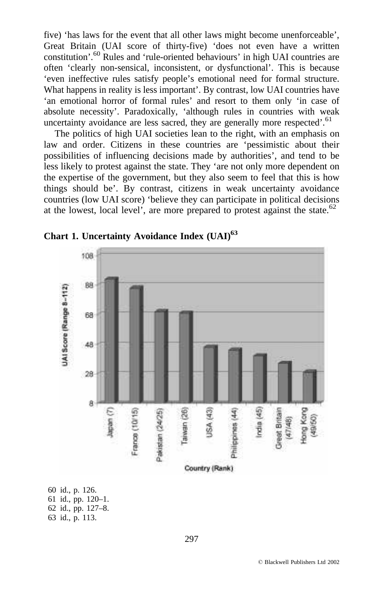five) 'has laws for the event that all other laws might become unenforceable', Great Britain (UAI score of thirty-five) 'does not even have a written constitution'.<sup>60</sup> Rules and 'rule-oriented behaviours' in high UAI countries are often 'clearly non-sensical, inconsistent, or dysfunctional'. This is because 'even ineffective rules satisfy people's emotional need for formal structure. What happens in reality is less important'. By contrast, low UAI countries have 'an emotional horror of formal rules' and resort to them only 'in case of absolute necessity'. Paradoxically, 'although rules in countries with weak uncertainty avoidance are less sacred, they are generally more respected'.<sup>61</sup>

The politics of high UAI societies lean to the right, with an emphasis on law and order. Citizens in these countries are 'pessimistic about their possibilities of influencing decisions made by authorities', and tend to be less likely to protest against the state. They 'are not only more dependent on the expertise of the government, but they also seem to feel that this is how things should be'. By contrast, citizens in weak uncertainty avoidance countries (low UAI score) 'believe they can participate in political decisions at the lowest, local level', are more prepared to protest against the state.<sup>62</sup>



**Chart 1. Uncertainty Avoidance Index (UAI)<sup>63</sup>**

60 id., p. 126. 61 id., pp. 120–1. 62 id., pp. 127–8. 63 id., p. 113.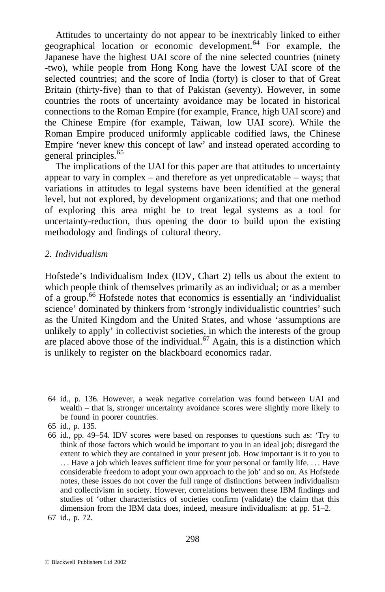Attitudes to uncertainty do not appear to be inextricably linked to either geographical location or economic development.<sup>64</sup> For example, the Japanese have the highest UAI score of the nine selected countries (ninety -two), while people from Hong Kong have the lowest UAI score of the selected countries; and the score of India (forty) is closer to that of Great Britain (thirty-five) than to that of Pakistan (seventy). However, in some countries the roots of uncertainty avoidance may be located in historical connections to the Roman Empire (for example, France, high UAI score) and the Chinese Empire (for example, Taiwan, low UAI score). While the Roman Empire produced uniformly applicable codified laws, the Chinese Empire 'never knew this concept of law' and instead operated according to general principles.<sup>65</sup>

The implications of the UAI for this paper are that attitudes to uncertainty appear to vary in complex – and therefore as yet unpredicatable – ways; that variations in attitudes to legal systems have been identified at the general level, but not explored, by development organizations; and that one method of exploring this area might be to treat legal systems as a tool for uncertainty-reduction, thus opening the door to build upon the existing methodology and findings of cultural theory.

#### *2. Individualism*

Hofstede's Individualism Index (IDV, Chart 2) tells us about the extent to which people think of themselves primarily as an individual; or as a member of a group.<sup>66</sup> Hofstede notes that economics is essentially an 'individualist science' dominated by thinkers from 'strongly individualistic countries' such as the United Kingdom and the United States, and whose 'assumptions are unlikely to apply' in collectivist societies, in which the interests of the group are placed above those of the individual.<sup>67</sup> Again, this is a distinction which is unlikely to register on the blackboard economics radar.

64 id., p. 136. However, a weak negative correlation was found between UAI and wealth – that is, stronger uncertainty avoidance scores were slightly more likely to be found in poorer countries.

- 66 id., pp. 49–54. IDV scores were based on responses to questions such as: 'Try to think of those factors which would be important to you in an ideal job; disregard the extent to which they are contained in your present job. How important is it to you to ... Have a job which leaves sufficient time for your personal or family life.... Have considerable freedom to adopt your own approach to the job' and so on. As Hofstede notes, these issues do not cover the full range of distinctions between individualism and collectivism in society. However, correlations between these IBM findings and studies of 'other characteristics of societies confirm (validate) the claim that this dimension from the IBM data does, indeed, measure individualism: at pp. 51–2.
- 67 id., p. 72.

<sup>65</sup> id., p. 135.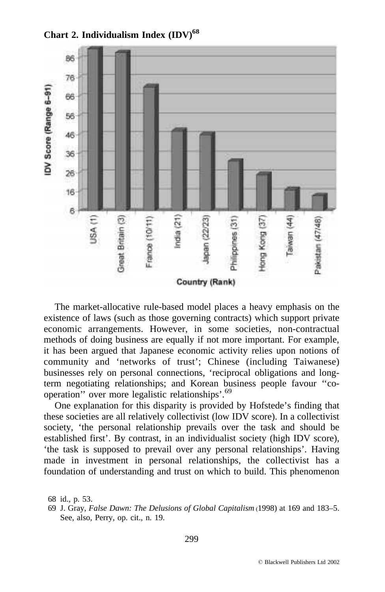

**Chart 2. Individualism Index (IDV)<sup>68</sup>**

The market-allocative rule-based model places a heavy emphasis on the existence of laws (such as those governing contracts) which support private economic arrangements. However, in some societies, non-contractual methods of doing business are equally if not more important. For example, it has been argued that Japanese economic activity relies upon notions of community and 'networks of trust'; Chinese (including Taiwanese) businesses rely on personal connections, 'reciprocal obligations and longterm negotiating relationships; and Korean business people favour ''cooperation'' over more legalistic relationships'.<sup>69</sup>

One explanation for this disparity is provided by Hofstede's finding that these societies are all relatively collectivist (low IDV score). In a collectivist society, 'the personal relationship prevails over the task and should be established first'. By contrast, in an individualist society (high IDV score), 'the task is supposed to prevail over any personal relationships'. Having made in investment in personal relationships, the collectivist has a foundation of understanding and trust on which to build. This phenomenon

<sup>68</sup> id., p. 53.

<sup>69</sup> J. Gray, *False Dawn: The Delusions of Global Capitalism* (1998) at 169 and 183–5. See, also, Perry, op. cit., n. 19.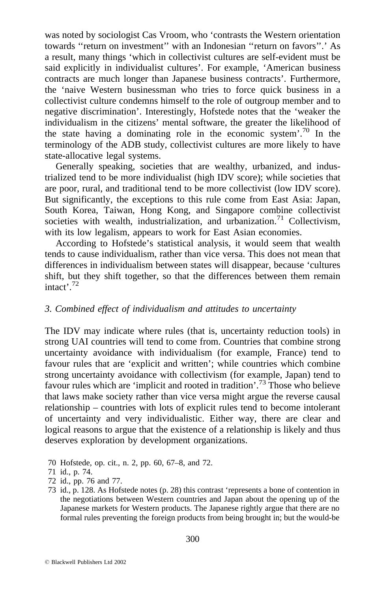was noted by sociologist Cas Vroom, who 'contrasts the Western orientation towards ''return on investment'' with an Indonesian ''return on favors''.' As a result, many things 'which in collectivist cultures are self-evident must be said explicitly in individualist cultures'. For example, 'American business contracts are much longer than Japanese business contracts'. Furthermore, the 'naive Western businessman who tries to force quick business in a collectivist culture condemns himself to the role of outgroup member and to negative discrimination'. Interestingly, Hofstede notes that the 'weaker the individualism in the citizens' mental software, the greater the likelihood of the state having a dominating role in the economic system'.<sup>70</sup> In the terminology of the ADB study, collectivist cultures are more likely to have state-allocative legal systems.

Generally speaking, societies that are wealthy, urbanized, and industrialized tend to be more individualist (high IDV score); while societies that are poor, rural, and traditional tend to be more collectivist (low IDV score). But significantly, the exceptions to this rule come from East Asia: Japan, South Korea, Taiwan, Hong Kong, and Singapore combine collectivist societies with wealth, industrialization, and urbanization.<sup>71</sup> Collectivism, with its low legalism, appears to work for East Asian economies.

According to Hofstede's statistical analysis, it would seem that wealth tends to cause individualism, rather than vice versa. This does not mean that differences in individualism between states will disappear, because 'cultures shift, but they shift together, so that the differences between them remain intact<sup>, 72</sup>

#### *3. Combined effect of individualism and attitudes to uncertainty*

The IDV may indicate where rules (that is, uncertainty reduction tools) in strong UAI countries will tend to come from. Countries that combine strong uncertainty avoidance with individualism (for example, France) tend to favour rules that are 'explicit and written'; while countries which combine strong uncertainty avoidance with collectivism (for example, Japan) tend to favour rules which are 'implicit and rooted in tradition'.<sup>73</sup> Those who believe that laws make society rather than vice versa might argue the reverse causal relationship – countries with lots of explicit rules tend to become intolerant of uncertainty and very individualistic. Either way, there are clear and logical reasons to argue that the existence of a relationship is likely and thus deserves exploration by development organizations.

- 70 Hofstede, op. cit., n. 2, pp. 60, 67–8, and 72.
- 71 id., p. 74.
- 72 id., pp. 76 and 77.
- 73 id., p. 128. As Hofstede notes (p. 28) this contrast 'represents a bone of contention in the negotiations between Western countries and Japan about the opening up of the Japanese markets for Western products. The Japanese rightly argue that there are no formal rules preventing the foreign products from being brought in; but the would-be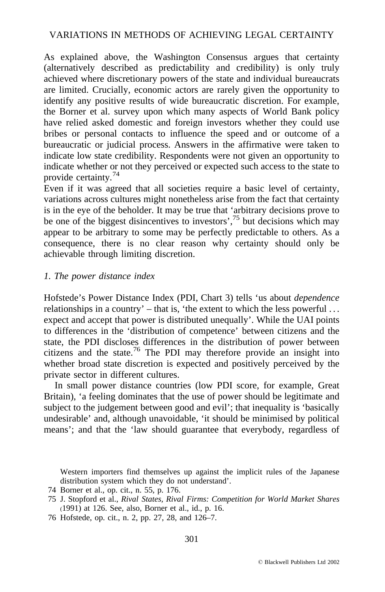#### VARIATIONS IN METHODS OF ACHIEVING LEGAL CERTAINTY

As explained above, the Washington Consensus argues that certainty (alternatively described as predictability and credibility) is only truly achieved where discretionary powers of the state and individual bureaucrats are limited. Crucially, economic actors are rarely given the opportunity to identify any positive results of wide bureaucratic discretion. For example, the Borner et al. survey upon which many aspects of World Bank policy have relied asked domestic and foreign investors whether they could use bribes or personal contacts to influence the speed and or outcome of a bureaucratic or judicial process. Answers in the affirmative were taken to indicate low state credibility. Respondents were not given an opportunity to indicate whether or not they perceived or expected such access to the state to provide certainty.<sup>74</sup>

Even if it was agreed that all societies require a basic level of certainty, variations across cultures might nonetheless arise from the fact that certainty is in the eye of the beholder. It may be true that 'arbitrary decisions prove to be one of the biggest disincentives to investors', $^{75}$  but decisions which may appear to be arbitrary to some may be perfectly predictable to others. As a consequence, there is no clear reason why certainty should only be achievable through limiting discretion.

#### *1. The power distance index*

Hofstede's Power Distance Index (PDI, Chart 3) tells 'us about *dependence* relationships in a country' – that is, 'the extent to which the less powerful  $\dots$ expect and accept that power is distributed unequally'. While the UAI points to differences in the 'distribution of competence' between citizens and the state, the PDI discloses differences in the distribution of power between citizens and the state.<sup>76</sup> The PDI may therefore provide an insight into whether broad state discretion is expected and positively perceived by the private sector in different cultures.

In small power distance countries (low PDI score, for example, Great Britain), 'a feeling dominates that the use of power should be legitimate and subject to the judgement between good and evil'; that inequality is 'basically undesirable' and, although unavoidable, 'it should be minimised by political means'; and that the 'law should guarantee that everybody, regardless of

Western importers find themselves up against the implicit rules of the Japanese distribution system which they do not understand'.

- 74 Borner et al., op. cit., n. 55, p. 176.
- 75 J. Stopford et al., *Rival States, Rival Firms: Competition for World Market Shares* (1991) at 126. See, also, Borner et al., id., p. 16.
- 76 Hofstede, op. cit., n. 2, pp. 27, 28, and 126–7.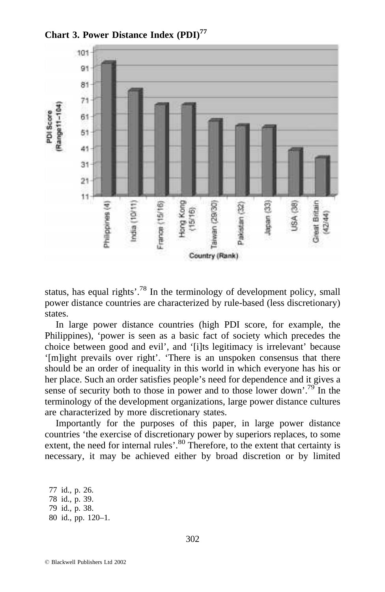

**Chart 3. Power Distance Index (PDI)<sup>77</sup>**

status, has equal rights'.<sup>78</sup> In the terminology of development policy, small power distance countries are characterized by rule-based (less discretionary) states.

In large power distance countries (high PDI score, for example, the Philippines), 'power is seen as a basic fact of society which precedes the choice between good and evil', and '[i]ts legitimacy is irrelevant' because '[m]ight prevails over right'. 'There is an unspoken consensus that there should be an order of inequality in this world in which everyone has his or her place. Such an order satisfies people's need for dependence and it gives a sense of security both to those in power and to those lower down'.<sup>79</sup> In the terminology of the development organizations, large power distance cultures are characterized by more discretionary states.

Importantly for the purposes of this paper, in large power distance countries 'the exercise of discretionary power by superiors replaces, to some extent, the need for internal rules'.<sup>80</sup> Therefore, to the extent that certainty is necessary, it may be achieved either by broad discretion or by limited

77 id., p. 26. 78 id., p. 39. 79 id., p. 38. 80 id., pp. 120–1.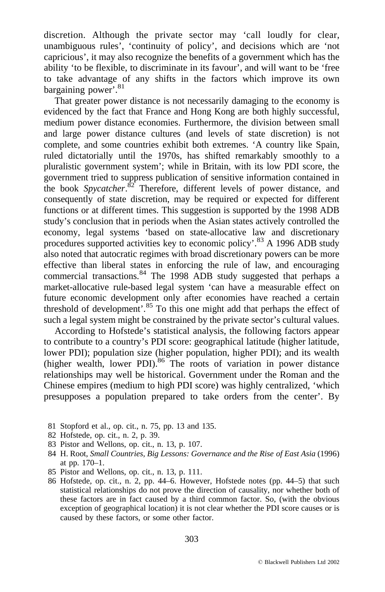discretion. Although the private sector may 'call loudly for clear, unambiguous rules', 'continuity of policy', and decisions which are 'not capricious', it may also recognize the benefits of a government which has the ability 'to be flexible, to discriminate in its favour', and will want to be 'free to take advantage of any shifts in the factors which improve its own bargaining power'.<sup>81</sup>

That greater power distance is not necessarily damaging to the economy is evidenced by the fact that France and Hong Kong are both highly successful, medium power distance economies. Furthermore, the division between small and large power distance cultures (and levels of state discretion) is not complete, and some countries exhibit both extremes. 'A country like Spain, ruled dictatorially until the 1970s, has shifted remarkably smoothly to a pluralistic government system'; while in Britain, with its low PDI score, the government tried to suppress publication of sensitive information contained in the book *Spycatcher*. <sup>82</sup> Therefore, different levels of power distance, and consequently of state discretion, may be required or expected for different functions or at different times. This suggestion is supported by the 1998 ADB study's conclusion that in periods when the Asian states actively controlled the economy, legal systems 'based on state-allocative law and discretionary procedures supported activities key to economic policy'.<sup>83</sup> A 1996 ADB study also noted that autocratic regimes with broad discretionary powers can be more effective than liberal states in enforcing the rule of law, and encouraging commercial transactions.<sup>84</sup> The 1998 ADB study suggested that perhaps a market-allocative rule-based legal system 'can have a measurable effect on future economic development only after economies have reached a certain threshold of development'.<sup>85</sup> To this one might add that perhaps the effect of such a legal system might be constrained by the private sector's cultural values.

According to Hofstede's statistical analysis, the following factors appear to contribute to a country's PDI score: geographical latitude (higher latitude, lower PDI); population size (higher population, higher PDI); and its wealth (higher wealth, lower PDI). $86$  The roots of variation in power distance relationships may well be historical. Government under the Roman and the Chinese empires (medium to high PDI score) was highly centralized, 'which presupposes a population prepared to take orders from the center'. By

- 81 Stopford et al., op. cit., n. 75, pp. 13 and 135.
- 82 Hofstede, op. cit., n. 2, p. 39.
- 83 Pistor and Wellons, op. cit., n. 13, p. 107.
- 84 H. Root, *Small Countries, Big Lessons: Governance and the Rise of East Asia* (1996) at pp. 170–1.
- 85 Pistor and Wellons, op. cit., n. 13, p. 111.
- 86 Hofstede, op. cit., n. 2, pp. 44–6. However, Hofstede notes (pp. 44–5) that such statistical relationships do not prove the direction of causality, nor whether both of these factors are in fact caused by a third common factor. So, (with the obvious exception of geographical location) it is not clear whether the PDI score causes or is caused by these factors, or some other factor.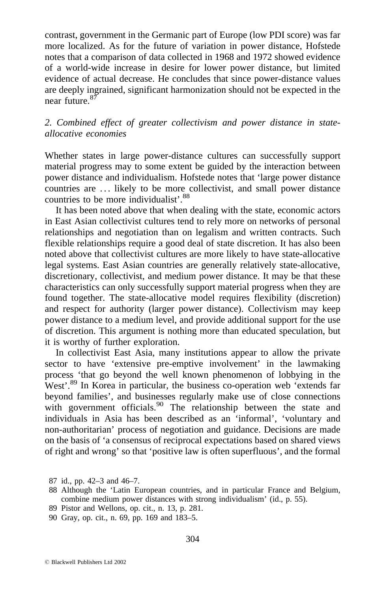contrast, government in the Germanic part of Europe (low PDI score) was far more localized. As for the future of variation in power distance, Hofstede notes that a comparison of data collected in 1968 and 1972 showed evidence of a world-wide increase in desire for lower power distance, but limited evidence of actual decrease. He concludes that since power-distance values are deeply ingrained, significant harmonization should not be expected in the near future.<sup>87</sup>

*2. Combined effect of greater collectivism and power distance in stateallocative economies*

Whether states in large power-distance cultures can successfully support material progress may to some extent be guided by the interaction between power distance and individualism. Hofstede notes that 'large power distance countries are ... likely to be more collectivist, and small power distance countries to be more individualist'. 88

It has been noted above that when dealing with the state, economic actors in East Asian collectivist cultures tend to rely more on networks of personal relationships and negotiation than on legalism and written contracts. Such flexible relationships require a good deal of state discretion. It has also been noted above that collectivist cultures are more likely to have state-allocative legal systems. East Asian countries are generally relatively state-allocative, discretionary, collectivist, and medium power distance. It may be that these characteristics can only successfully support material progress when they are found together. The state-allocative model requires flexibility (discretion) and respect for authority (larger power distance). Collectivism may keep power distance to a medium level, and provide additional support for the use of discretion. This argument is nothing more than educated speculation, but it is worthy of further exploration.

In collectivist East Asia, many institutions appear to allow the private sector to have 'extensive pre-emptive involvement' in the lawmaking process 'that go beyond the well known phenomenon of lobbying in the West'.<sup>89</sup> In Korea in particular, the business co-operation web 'extends far beyond families', and businesses regularly make use of close connections with government officials.<sup>90</sup> The relationship between the state and individuals in Asia has been described as an 'informal', 'voluntary and non-authoritarian' process of negotiation and guidance. Decisions are made on the basis of 'a consensus of reciprocal expectations based on shared views of right and wrong' so that 'positive law is often superfluous', and the formal

- 89 Pistor and Wellons, op. cit., n. 13, p. 281.
- 90 Gray, op. cit., n. 69, pp. 169 and 183–5.

<sup>87</sup> id., pp. 42–3 and 46–7.

<sup>88</sup> Although the 'Latin European countries, and in particular France and Belgium, combine medium power distances with strong individualism' (id., p. 55).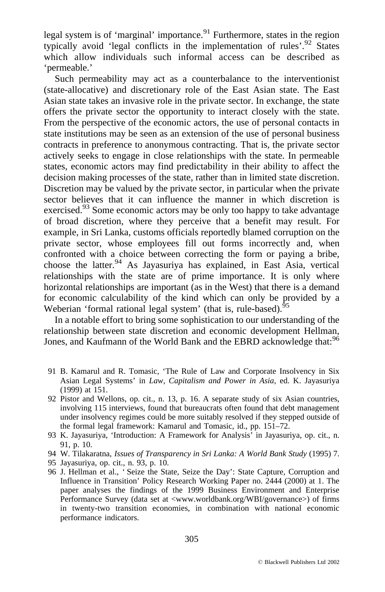legal system is of 'marginal' importance.<sup>91</sup> Furthermore, states in the region typically avoid 'legal conflicts in the implementation of rules'.<sup>92</sup> States which allow individuals such informal access can be described as 'permeable.'

Such permeability may act as a counterbalance to the interventionist (state-allocative) and discretionary role of the East Asian state. The East Asian state takes an invasive role in the private sector. In exchange, the state offers the private sector the opportunity to interact closely with the state. From the perspective of the economic actors, the use of personal contacts in state institutions may be seen as an extension of the use of personal business contracts in preference to anonymous contracting. That is, the private sector actively seeks to engage in close relationships with the state. In permeable states, economic actors may find predictability in their ability to affect the decision making processes of the state, rather than in limited state discretion. Discretion may be valued by the private sector, in particular when the private sector believes that it can influence the manner in which discretion is exercised.<sup>93</sup> Some economic actors may be only too happy to take advantage of broad discretion, where they perceive that a benefit may result. For example, in Sri Lanka, customs officials reportedly blamed corruption on the private sector, whose employees fill out forms incorrectly and, when confronted with a choice between correcting the form or paying a bribe, choose the latter.  $94$  As Javasuriya has explained, in East Asia, vertical relationships with the state are of prime importance. It is only where horizontal relationships are important (as in the West) that there is a demand for economic calculability of the kind which can only be provided by a Weberian 'formal rational legal system' (that is, rule-based).  $95$ 

In a notable effort to bring some sophistication to our understanding of the relationship between state discretion and economic development Hellman, Jones, and Kaufmann of the World Bank and the EBRD acknowledge that:<sup>96</sup>

- 91 B. Kamarul and R. Tomasic, 'The Rule of Law and Corporate Insolvency in Six Asian Legal Systems' in *Law, Capitalism and Power in Asia*, ed. K. Jayasuriya (1999) at 151.
- 92 Pistor and Wellons, op. cit., n. 13, p. 16. A separate study of six Asian countries, involving 115 interviews, found that bureaucrats often found that debt management under insolvency regimes could be more suitably resolved if they stepped outside of the formal legal framework: Kamarul and Tomasic, id., pp. 151–72.
- 93 K. Jayasuriya, 'Introduction: A Framework for Analysis' in Jayasuriya, op. cit., n. 91, p. 10.
- 94 W. Tilakaratna, *Issues of Transparency in Sri Lanka: A World Bank Study* (1995) 7.
- 95 Jayasuriya, op. cit., n. 93, p. 10.
- 96 J. Hellman et al., *'* Seize the State, Seize the Day': State Capture, Corruption and Influence in Transition' Policy Research Working Paper no. 2444 (2000) at 1. The paper analyses the findings of the 1999 Business Environment and Enterprise Performance Survey (data set at <www.worldbank.org/WBI/governance>) of firms in twenty-two transition economies, in combination with national economic performance indicators.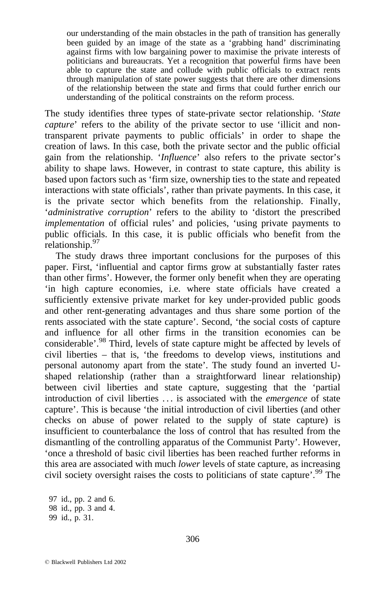our understanding of the main obstacles in the path of transition has generally been guided by an image of the state as a 'grabbing hand' discriminating against firms with low bargaining power to maximise the private interests of politicians and bureaucrats. Yet a recognition that powerful firms have been able to capture the state and collude with public officials to extract rents through manipulation of state power suggests that there are other dimensions of the relationship between the state and firms that could further enrich our understanding of the political constraints on the reform process.

The study identifies three types of state-private sector relationship. '*State capture*' refers to the ability of the private sector to use 'illicit and nontransparent private payments to public officials' in order to shape the creation of laws. In this case, both the private sector and the public official gain from the relationship. '*Influence*' also refers to the private sector's ability to shape laws. However, in contrast to state capture, this ability is based upon factors such as 'firm size, ownership ties to the state and repeated interactions with state officials', rather than private payments. In this case, it is the private sector which benefits from the relationship. Finally, '*administrative corruption*' refers to the ability to 'distort the prescribed *implementation* of official rules' and policies, 'using private payments to public officials. In this case, it is public officials who benefit from the relationship.<sup>97</sup>

The study draws three important conclusions for the purposes of this paper. First, 'influential and captor firms grow at substantially faster rates than other firms'. However, the former only benefit when they are operating 'in high capture economies, i.e. where state officials have created a sufficiently extensive private market for key under-provided public goods and other rent-generating advantages and thus share some portion of the rents associated with the state capture'. Second, 'the social costs of capture and influence for all other firms in the transition economies can be considerable'.<sup>98</sup> Third, levels of state capture might be affected by levels of civil liberties – that is, 'the freedoms to develop views, institutions and personal autonomy apart from the state'. The study found an inverted Ushaped relationship (rather than a straightforward linear relationship) between civil liberties and state capture, suggesting that the 'partial introduction of civil liberties . . . is associated with the *emergence* of state capture'. This is because 'the initial introduction of civil liberties (and other checks on abuse of power related to the supply of state capture) is insufficient to counterbalance the loss of control that has resulted from the dismantling of the controlling apparatus of the Communist Party'. However, 'once a threshold of basic civil liberties has been reached further reforms in this area are associated with much *lower* levels of state capture, as increasing civil society oversight raises the costs to politicians of state capture'.<sup>99</sup> The

97 id., pp. 2 and 6. 98 id., pp. 3 and 4. 99 id., p. 31.